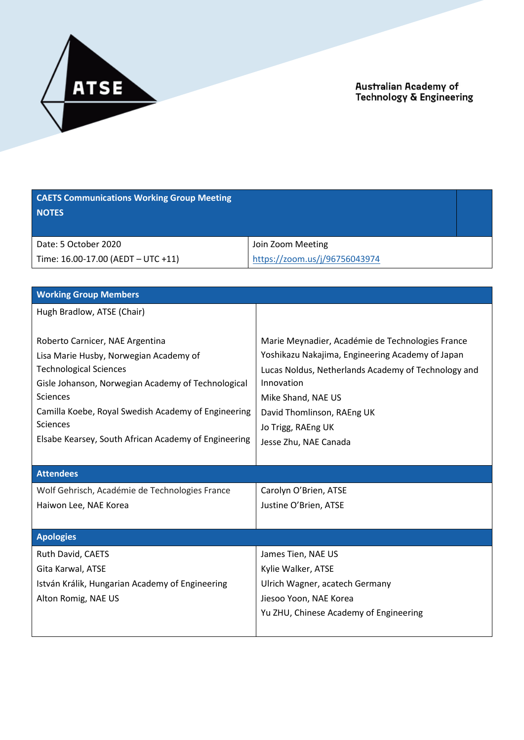

| <b>CAETS Communications Working Group Meeting</b><br><b>NOTES</b>                                                                                                                                                                                                                                              |                                                                                                                                                                                                                                                                              |
|----------------------------------------------------------------------------------------------------------------------------------------------------------------------------------------------------------------------------------------------------------------------------------------------------------------|------------------------------------------------------------------------------------------------------------------------------------------------------------------------------------------------------------------------------------------------------------------------------|
| Date: 5 October 2020                                                                                                                                                                                                                                                                                           | Join Zoom Meeting                                                                                                                                                                                                                                                            |
| Time: 16.00-17.00 (AEDT - UTC +11)                                                                                                                                                                                                                                                                             | https://zoom.us/j/96756043974                                                                                                                                                                                                                                                |
|                                                                                                                                                                                                                                                                                                                |                                                                                                                                                                                                                                                                              |
| <b>Working Group Members</b>                                                                                                                                                                                                                                                                                   |                                                                                                                                                                                                                                                                              |
| Hugh Bradlow, ATSE (Chair)                                                                                                                                                                                                                                                                                     |                                                                                                                                                                                                                                                                              |
| Roberto Carnicer, NAE Argentina<br>Lisa Marie Husby, Norwegian Academy of<br><b>Technological Sciences</b><br>Gisle Johanson, Norwegian Academy of Technological<br><b>Sciences</b><br>Camilla Koebe, Royal Swedish Academy of Engineering<br>Sciences<br>Elsabe Kearsey, South African Academy of Engineering | Marie Meynadier, Académie de Technologies France<br>Yoshikazu Nakajima, Engineering Academy of Japan<br>Lucas Noldus, Netherlands Academy of Technology and<br>Innovation<br>Mike Shand, NAE US<br>David Thomlinson, RAEng UK<br>Jo Trigg, RAEng UK<br>Jesse Zhu, NAE Canada |
| <b>Attendees</b>                                                                                                                                                                                                                                                                                               |                                                                                                                                                                                                                                                                              |
| Wolf Gehrisch, Académie de Technologies France                                                                                                                                                                                                                                                                 | Carolyn O'Brien, ATSE                                                                                                                                                                                                                                                        |
| Haiwon Lee, NAE Korea                                                                                                                                                                                                                                                                                          | Justine O'Brien, ATSE                                                                                                                                                                                                                                                        |
|                                                                                                                                                                                                                                                                                                                |                                                                                                                                                                                                                                                                              |
| <b>Apologies</b>                                                                                                                                                                                                                                                                                               |                                                                                                                                                                                                                                                                              |
| Ruth David, CAETS                                                                                                                                                                                                                                                                                              | James Tien, NAE US                                                                                                                                                                                                                                                           |
| Gita Karwal, ATSE                                                                                                                                                                                                                                                                                              | Kylie Walker, ATSE                                                                                                                                                                                                                                                           |
| István Králik, Hungarian Academy of Engineering                                                                                                                                                                                                                                                                | Ulrich Wagner, acatech Germany                                                                                                                                                                                                                                               |
| Alton Romig, NAE US                                                                                                                                                                                                                                                                                            | Jiesoo Yoon, NAE Korea                                                                                                                                                                                                                                                       |
|                                                                                                                                                                                                                                                                                                                | Yu ZHU, Chinese Academy of Engineering                                                                                                                                                                                                                                       |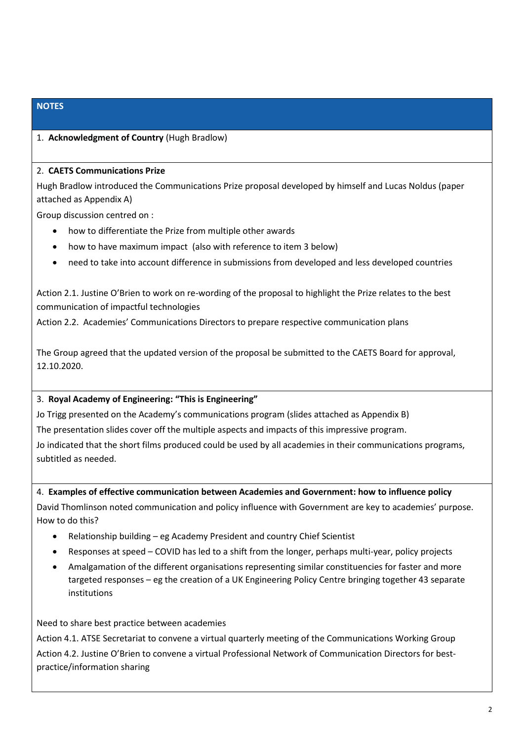# **NOTES**

### 1. **Acknowledgment of Country** (Hugh Bradlow)

#### 2. **CAETS Communications Prize**

Hugh Bradlow introduced the Communications Prize proposal developed by himself and Lucas Noldus (paper attached as Appendix A)

Group discussion centred on :

- how to differentiate the Prize from multiple other awards
- how to have maximum impact (also with reference to item 3 below)
- need to take into account difference in submissions from developed and less developed countries

Action 2.1. Justine O'Brien to work on re-wording of the proposal to highlight the Prize relates to the best communication of impactful technologies

Action 2.2. Academies' Communications Directors to prepare respective communication plans

The Group agreed that the updated version of the proposal be submitted to the CAETS Board for approval, 12.10.2020.

#### 3. **Royal Academy of Engineering: "This is Engineering"**

Jo Trigg presented on the Academy's communications program (slides attached as Appendix B) The presentation slides cover off the multiple aspects and impacts of this impressive program. Jo indicated that the short films produced could be used by all academies in their communications programs, subtitled as needed.

#### 4. **Examples of effective communication between Academies and Government: how to influence policy**

David Thomlinson noted communication and policy influence with Government are key to academies' purpose. How to do this?

- Relationship building eg Academy President and country Chief Scientist
- Responses at speed COVID has led to a shift from the longer, perhaps multi-year, policy projects
- Amalgamation of the different organisations representing similar constituencies for faster and more targeted responses – eg the creation of a UK Engineering Policy Centre bringing together 43 separate institutions

#### Need to share best practice between academies

Action 4.1. ATSE Secretariat to convene a virtual quarterly meeting of the Communications Working Group Action 4.2. Justine O'Brien to convene a virtual Professional Network of Communication Directors for bestpractice/information sharing